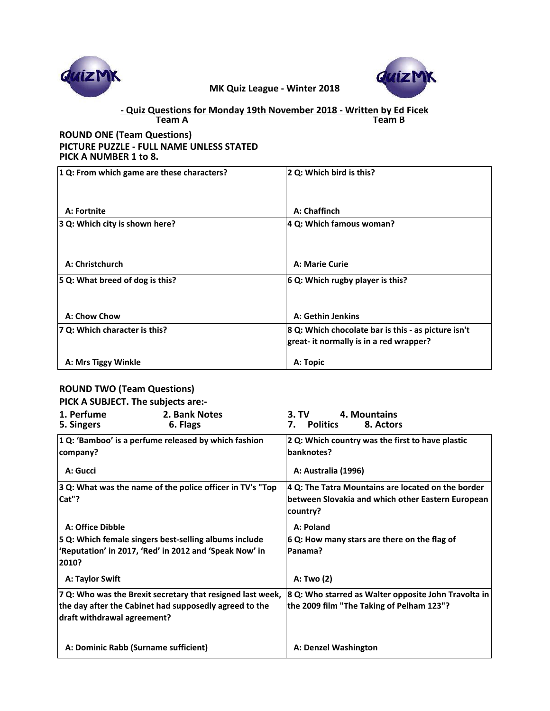



#### **Team A Team B - Quiz Questions for Monday 19th November 2018 - Written by Ed Ficek**

### **ROUND ONE (Team Questions) PICTURE PUZZLE - FULL NAME UNLESS STATED PICK A NUMBER 1 to 8.**

| 1 Q: From which game are these characters? | 2 Q: Which bird is this?                                                                       |  |
|--------------------------------------------|------------------------------------------------------------------------------------------------|--|
| A: Fortnite                                | A: Chaffinch                                                                                   |  |
| 3 Q: Which city is shown here?             | 4 Q: Which famous woman?                                                                       |  |
| A: Christchurch                            | A: Marie Curie                                                                                 |  |
| 5 Q: What breed of dog is this?            | 6 Q: Which rugby player is this?                                                               |  |
| A: Chow Chow                               | A: Gethin Jenkins                                                                              |  |
| 7 Q: Which character is this?              | 8 Q: Which chocolate bar is this - as picture isn't<br>great- it normally is in a red wrapper? |  |
| A: Mrs Tiggy Winkle                        | A: Topic                                                                                       |  |

## **ROUND TWO (Team Questions)**

### **PICK A SUBJECT. The subjects are:-**

| 1. Perfume<br>5. Singers    | 2. Bank Notes<br>6. Flags                                  | 4. Mountains<br>3. TV<br><b>Politics</b><br>8. Actors<br>7.    |
|-----------------------------|------------------------------------------------------------|----------------------------------------------------------------|
| company?                    | 1 Q: 'Bamboo' is a perfume released by which fashion       | 2 Q: Which country was the first to have plastic<br>banknotes? |
| A: Gucci                    |                                                            | A: Australia (1996)                                            |
|                             | 3 Q: What was the name of the police officer in TV's "Top  | 4 Q: The Tatra Mountains are located on the border             |
| Cat"?                       |                                                            | between Slovakia and which other Eastern European<br>country?  |
| A: Office Dibble            |                                                            | A: Poland                                                      |
|                             | 5 Q: Which female singers best-selling albums include      | 6 Q: How many stars are there on the flag of                   |
| 2010?                       | 'Reputation' in 2017, 'Red' in 2012 and 'Speak Now' in     | Panama?                                                        |
| A: Taylor Swift             |                                                            | A: Two (2)                                                     |
|                             | 7 Q: Who was the Brexit secretary that resigned last week, | 8 Q: Who starred as Walter opposite John Travolta in           |
|                             | the day after the Cabinet had supposedly agreed to the     | the 2009 film "The Taking of Pelham 123"?                      |
| draft withdrawal agreement? |                                                            |                                                                |
|                             | A: Dominic Rabb (Surname sufficient)                       | A: Denzel Washington                                           |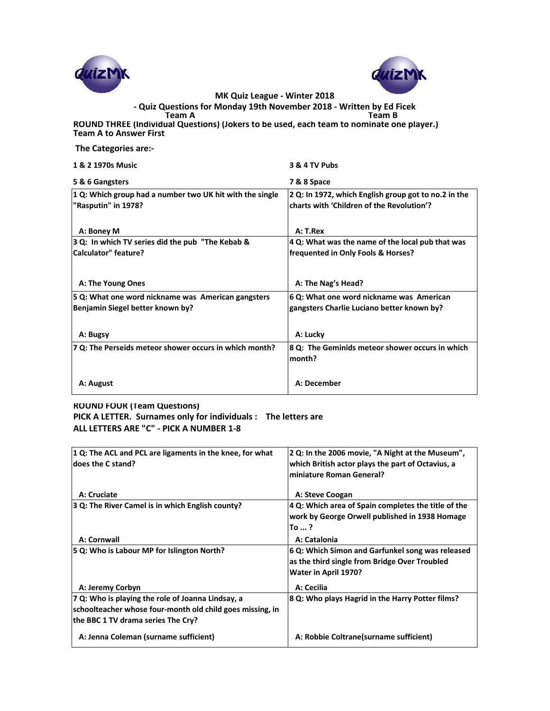



**- Quiz Questions for Monday 19th November 2018 - Written by Ed Ficek**

**Team A Team B ROUND THREE (Individual Questions) (Jokers to be used, each team to nominate one player.) Team A to Answer First** 

 **The Categories are:-**

| 1 & 2 1970s Music                                                               | 3 & 4 TV Pubs                                                                                     |
|---------------------------------------------------------------------------------|---------------------------------------------------------------------------------------------------|
| 5 & 6 Gangsters                                                                 | 7 & 8 Space                                                                                       |
| 1 Q: Which group had a number two UK hit with the single<br>"Rasputin" in 1978? | 2 Q: In 1972, which English group got to no.2 in the<br>charts with 'Children of the Revolution'? |
| A: Boney M                                                                      | A: T.Rex                                                                                          |
| 3 Q: In which TV series did the pub "The Kebab &                                | 4 Q: What was the name of the local pub that was                                                  |
| <b>Calculator"</b> feature?                                                     | frequented in Only Fools & Horses?                                                                |
| A: The Young Ones                                                               | A: The Nag's Head?                                                                                |
| 5 Q: What one word nickname was American gangsters                              | 6 Q: What one word nickname was American                                                          |
| Benjamin Siegel better known by?                                                | gangsters Charlie Luciano better known by?                                                        |
|                                                                                 |                                                                                                   |
| A: Bugsy                                                                        | A: Lucky                                                                                          |
| 7 Q: The Perseids meteor shower occurs in which month?                          | 8 Q: The Geminids meteor shower occurs in which                                                   |
|                                                                                 | month?                                                                                            |
|                                                                                 |                                                                                                   |
| A: August                                                                       | A: December                                                                                       |
|                                                                                 |                                                                                                   |

#### **ROUND FOUR (Team Questions) PICK A LETTER. Surnames only for individuals : The letters are ALL LETTERS ARE "C" - PICK A NUMBER 1-8**

| 1 Q: The ACL and PCL are ligaments in the knee, for what<br>ldoes the C stand? | 2 Q: In the 2006 movie, "A Night at the Museum",<br>which British actor plays the part of Octavius, a<br>miniature Roman General? |
|--------------------------------------------------------------------------------|-----------------------------------------------------------------------------------------------------------------------------------|
| A: Cruciate                                                                    | A: Steve Coogan                                                                                                                   |
| 3 Q: The River Camel is in which English county?                               | 4 Q: Which area of Spain completes the title of the                                                                               |
|                                                                                | work by George Orwell published in 1938 Homage                                                                                    |
|                                                                                | To  ?                                                                                                                             |
| A: Cornwall                                                                    | A: Catalonia                                                                                                                      |
| 5 Q: Who is Labour MP for Islington North?                                     | 6 Q: Which Simon and Garfunkel song was released<br>as the third single from Bridge Over Troubled                                 |
|                                                                                | Water in April 1970?                                                                                                              |
| A: Jeremy Corbyn                                                               | A: Cecilia                                                                                                                        |
| 7 Q: Who is playing the role of Joanna Lindsay, a                              | 8 Q: Who plays Hagrid in the Harry Potter films?                                                                                  |
| schoolteacher whose four-month old child goes missing, in                      |                                                                                                                                   |
| the BBC 1 TV drama series The Cry?                                             |                                                                                                                                   |
| A: Jenna Coleman (surname sufficient)                                          | A: Robbie Coltrane (surname sufficient)                                                                                           |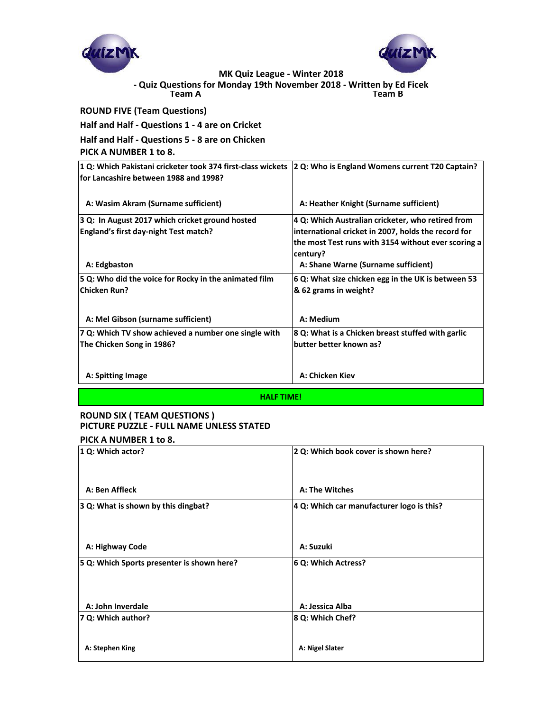



**Team A Team B - Quiz Questions for Monday 19th November 2018 - Written by Ed Ficek**

**ROUND FIVE (Team Questions)**

**Half and Half - Questions 1 - 4 are on Cricket**

**Half and Half - Questions 5 - 8 are on Chicken PICK A NUMBER 1 to 8.**

| 1 Q: Which Pakistani cricketer took 374 first-class wickets 2 Q: Who is England Womens current T20 Captain? |                                                                 |
|-------------------------------------------------------------------------------------------------------------|-----------------------------------------------------------------|
| for Lancashire between 1988 and 1998?                                                                       |                                                                 |
| A: Wasim Akram (Surname sufficient)                                                                         | A: Heather Knight (Surname sufficient)                          |
| 3 Q: In August 2017 which cricket ground hosted                                                             | 4 Q: Which Australian cricketer, who retired from               |
| England's first day-night Test match?                                                                       | international cricket in 2007, holds the record for             |
|                                                                                                             | the most Test runs with 3154 without ever scoring a<br>century? |
| A: Edgbaston                                                                                                | A: Shane Warne (Surname sufficient)                             |
| 5 Q: Who did the voice for Rocky in the animated film                                                       | 6 Q: What size chicken egg in the UK is between 53              |
| <b>Chicken Run?</b>                                                                                         | & 62 grams in weight?                                           |
| A: Mel Gibson (surname sufficient)                                                                          | A: Medium                                                       |
| 7 Q: Which TV show achieved a number one single with                                                        | 8 Q: What is a Chicken breast stuffed with garlic               |
| The Chicken Song in 1986?                                                                                   | butter better known as?                                         |
|                                                                                                             |                                                                 |
| A: Spitting Image                                                                                           | A: Chicken Kiev                                                 |
|                                                                                                             |                                                                 |

**HALF TIME!**

# **ROUND SIX ( TEAM QUESTIONS ) PICTURE PUZZLE - FULL NAME UNLESS STATED**

# **PICK A NUMBER 1 to 8.**

| 1 Q: Which actor?                          | 2 Q: Which book cover is shown here?      |  |
|--------------------------------------------|-------------------------------------------|--|
|                                            |                                           |  |
| A: Ben Affleck                             | A: The Witches                            |  |
| 3 Q: What is shown by this dingbat?        | 4 Q: Which car manufacturer logo is this? |  |
| A: Highway Code                            | A: Suzuki                                 |  |
| 5 Q: Which Sports presenter is shown here? | 6 Q: Which Actress?                       |  |
|                                            |                                           |  |
| A: John Inverdale                          | A: Jessica Alba                           |  |
| 7 Q: Which author?                         | 8 Q: Which Chef?                          |  |
| A: Stephen King                            | A: Nigel Slater                           |  |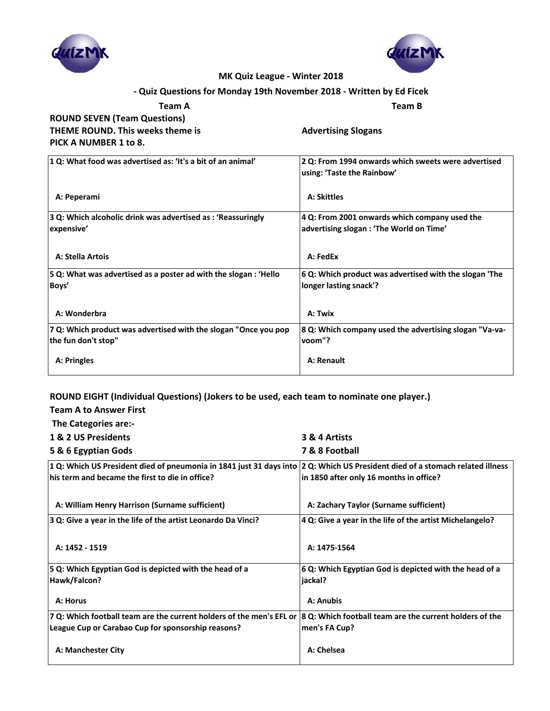



### **- Quiz Questions for Monday 19th November 2018 - Written by Ed Ficek**

| Team A                              | Team B                     |
|-------------------------------------|----------------------------|
| <b>ROUND SEVEN (Team Questions)</b> |                            |
| THEME ROUND. This weeks theme is    | <b>Advertising Slogans</b> |
| PICK A NUMBER 1 to 8.               |                            |

| 1 Q: What food was advertised as: 'It's a bit of an animal'                            | 2 Q: From 1994 onwards which sweets were advertised<br>using: 'Taste the Rainbow'        |
|----------------------------------------------------------------------------------------|------------------------------------------------------------------------------------------|
| A: Peperami                                                                            | <b>A: Skittles</b>                                                                       |
| 3 Q: Which alcoholic drink was advertised as: 'Reassuringly<br>expensive'              | 4 Q: From 2001 onwards which company used the<br>advertising slogan: 'The World on Time' |
| <b>A: Stella Artois</b>                                                                | A: FedEx                                                                                 |
| 5 Q: What was advertised as a poster ad with the slogan : 'Hello<br>Boys'              | 6 Q: Which product was advertised with the slogan 'The<br>longer lasting snack'?         |
| A: Wonderbra                                                                           | A: Twix                                                                                  |
| 7 Q: Which product was advertised with the slogan "Once you pop<br>the fun don't stop" | 8 Q: Which company used the advertising slogan "Va-va-<br>voom"?                         |
| A: Pringles                                                                            | A: Renault                                                                               |

## **ROUND EIGHT (Individual Questions) (Jokers to be used, each team to nominate one player.)**

| <b>Team A to Answer First</b>                                                                                                         |                                                          |
|---------------------------------------------------------------------------------------------------------------------------------------|----------------------------------------------------------|
| The Categories are:-                                                                                                                  |                                                          |
| 1 & 2 US Presidents                                                                                                                   | 3 & 4 Artists                                            |
| 5 & 6 Egyptian Gods                                                                                                                   | 7 & 8 Football                                           |
| $ 1 Q$ : Which US President died of pneumonia in 1841 just 31 days into $ 2 Q$ : Which US President died of a stomach related illness |                                                          |
| his term and became the first to die in office?                                                                                       | in 1850 after only 16 months in office?                  |
|                                                                                                                                       |                                                          |
| A: William Henry Harrison (Surname sufficient)                                                                                        | A: Zachary Taylor (Surname sufficient)                   |
| 3 Q: Give a year in the life of the artist Leonardo Da Vinci?                                                                         | 4 Q: Give a year in the life of the artist Michelangelo? |
|                                                                                                                                       |                                                          |
| A: 1452 - 1519                                                                                                                        | A: 1475-1564                                             |
| 5 Q: Which Egyptian God is depicted with the head of a                                                                                | 6 Q: Which Egyptian God is depicted with the head of a   |
| Hawk/Falcon?                                                                                                                          | liackal?                                                 |
|                                                                                                                                       |                                                          |
| A: Horus                                                                                                                              | A: Anubis                                                |
| 7 Q: Which football team are the current holders of the men's EFL or 8 Q: Which football team are the current holders of the          |                                                          |
| League Cup or Carabao Cup for sponsorship reasons?                                                                                    | men's FA Cup?                                            |
| A: Manchester City                                                                                                                    | A: Chelsea                                               |
|                                                                                                                                       |                                                          |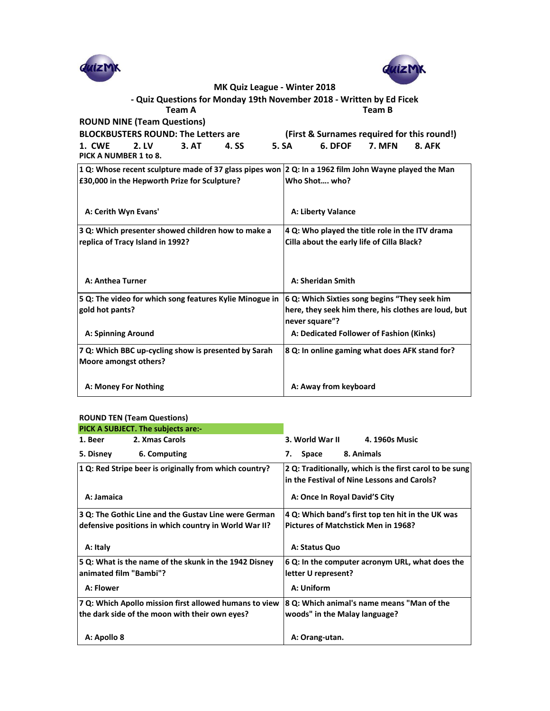



**Team A Team B - Quiz Questions for Monday 19th November 2018 - Written by Ed Ficek**

**ROUND NINE (Team Questions)**

**BLOCKBUSTERS ROUND: The Letters are (First & Surnames required for this round!) 1. CWE 2. LV 3. AT 4. SS 5. SA 6. DFOF 7. MFN 8. AFK**

| 1. LVVL |  | Z.LV                  | J. |
|---------|--|-----------------------|----|
|         |  | PICK A NUMBER 1 to 8. |    |

| 1 Q: Whose recent sculpture made of 37 glass pipes won 2 Q: In a 1962 film John Wayne played the Man |                                                                        |
|------------------------------------------------------------------------------------------------------|------------------------------------------------------------------------|
| £30,000 in the Hepworth Prize for Sculpture?                                                         | Who Shot who?                                                          |
| A: Cerith Wyn Evans'                                                                                 | A: Liberty Valance                                                     |
| 3 Q: Which presenter showed children how to make a                                                   | 4 Q: Who played the title role in the ITV drama                        |
| replica of Tracy Island in 1992?                                                                     | Cilla about the early life of Cilla Black?                             |
| A: Anthea Turner                                                                                     | A: Sheridan Smith                                                      |
| 5 Q: The video for which song features Kylie Minogue in                                              | 6 Q: Which Sixties song begins "They seek him                          |
| gold hot pants?                                                                                      | here, they seek him there, his clothes are loud, but<br>never square"? |
| <b>A: Spinning Around</b>                                                                            | A: Dedicated Follower of Fashion (Kinks)                               |
| 7 Q: Which BBC up-cycling show is presented by Sarah<br>Moore amongst others?                        | 8 Q: In online gaming what does AFK stand for?                         |
| A: Money For Nothing                                                                                 | A: Away from keyboard                                                  |

#### **ROUND TEN (Team Questions)**

| PICK A SUBJECT. The subjects are:-                     |                                                                                                        |
|--------------------------------------------------------|--------------------------------------------------------------------------------------------------------|
| 2. Xmas Carols<br>1. Beer                              | 3. World War II<br>4. 1960s Music                                                                      |
| 5. Disney<br>6. Computing                              | 8. Animals<br>Space<br>7.                                                                              |
| 1 Q: Red Stripe beer is originally from which country? | 2 Q: Traditionally, which is the first carol to be sung<br>in the Festival of Nine Lessons and Carols? |
| A: Jamaica                                             | A: Once In Royal David'S City                                                                          |
| 3 Q: The Gothic Line and the Gustav Line were German   | 4 Q: Which band's first top ten hit in the UK was                                                      |
| defensive positions in which country in World War II?  | Pictures of Matchstick Men in 1968?                                                                    |
| A: Italy                                               | A: Status Quo                                                                                          |
| 5 Q: What is the name of the skunk in the 1942 Disney  | 6 Q: In the computer acronym URL, what does the                                                        |
| animated film "Bambi"?                                 | letter U represent?                                                                                    |
| A: Flower                                              | A: Uniform                                                                                             |
| 7 Q: Which Apollo mission first allowed humans to view | 8 Q: Which animal's name means "Man of the                                                             |
| the dark side of the moon with their own eyes?         | woods" in the Malay language?                                                                          |
|                                                        |                                                                                                        |